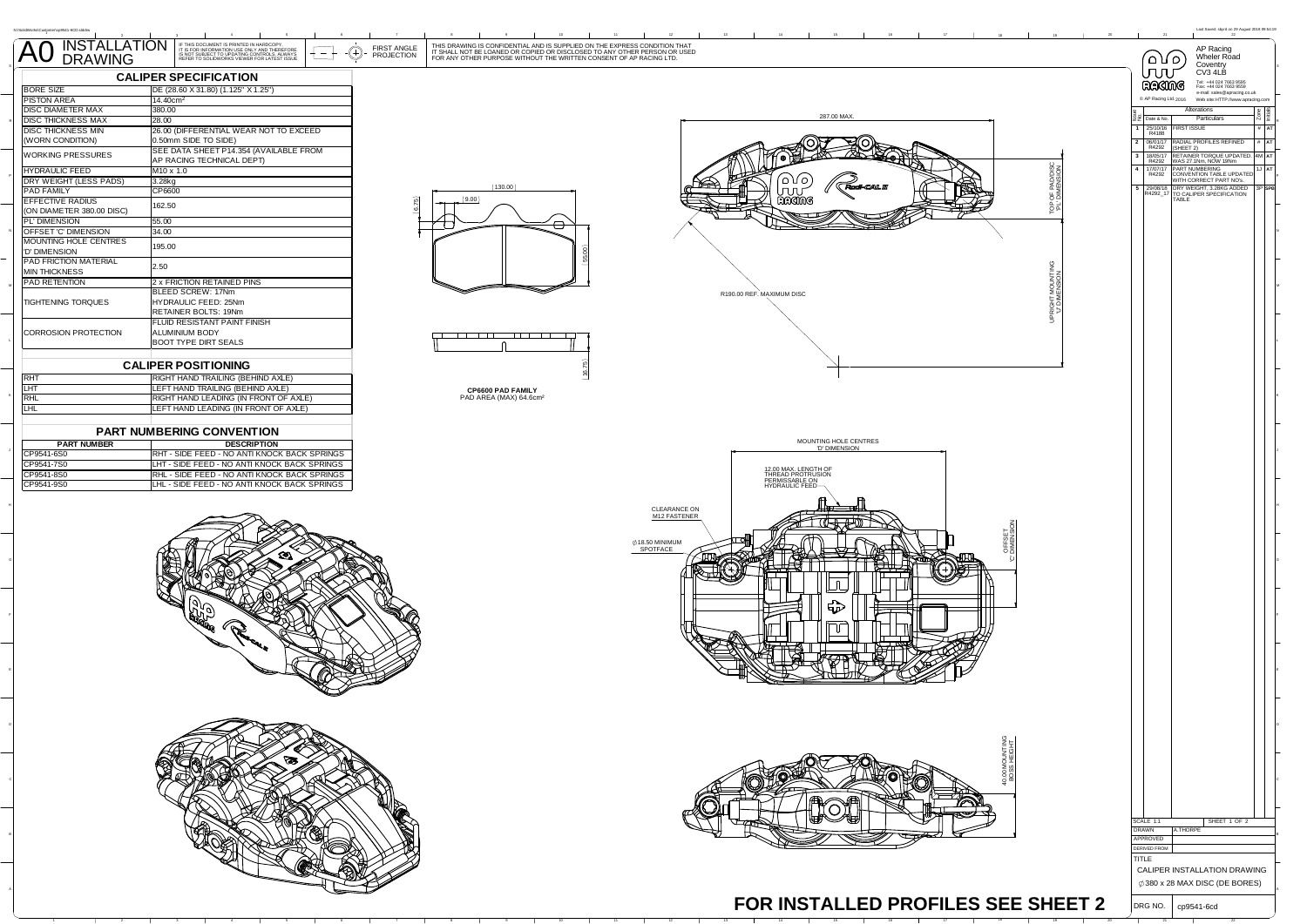| N1SolidWorkslCustomer\cp9541-6CD.slddrw   |                                                                                                                                                                                                               |                                                                                                                                                                                                                                |                                                                                                        | Last Saved: sbyrd on 29 August 2018 09:54:19                                     |
|-------------------------------------------|---------------------------------------------------------------------------------------------------------------------------------------------------------------------------------------------------------------|--------------------------------------------------------------------------------------------------------------------------------------------------------------------------------------------------------------------------------|--------------------------------------------------------------------------------------------------------|----------------------------------------------------------------------------------|
| INSTALLATION<br>DRAWING<br>A <sub>0</sub> | IF THIS DOCUMENT IS PRINTED IN HARDCOPY.<br>IT IS FOR INFORMATION USE ONLY AND THEREFORE<br>IS NOT SUBJECT TO UPDATING CONTROLS. ALWAYS<br>REFER TO SOLIDWORKS VIEWER FOR LATEST ISSUE<br>FIRST ANGLE<br>-(+) | THIS DRAWING IS CONFIDENTIAL AND IS SUPPLIED ON THE EXPRESS CONDITION THAT<br>IT SHALL NOT BE LOANED OR COPIED OR DISCLOSED TO ANY OTHER PERSON OR USED<br>FOR ANY OTHER PURPOSE WITHOUT THE WRITTEN CONSENT OF AP RACING LTD. |                                                                                                        | AP Racing                                                                        |
|                                           | <b>PROJECTION</b>                                                                                                                                                                                             |                                                                                                                                                                                                                                | പ്രസ                                                                                                   | Wheler Road<br>Coventry                                                          |
|                                           | <b>CALIPER SPECIFICATION</b>                                                                                                                                                                                  |                                                                                                                                                                                                                                | ллі                                                                                                    | CV3 4LB                                                                          |
| <b>BORE SIZE</b>                          | DE (28.60 X 31.80) (1.125" X 1.25")                                                                                                                                                                           |                                                                                                                                                                                                                                | RAGING                                                                                                 | Tel: +44 024 7663 9595<br>Fax: +44 024 7663 9559<br>e-mail: sales@apracing.co.uk |
| <b>PISTON AREA</b><br>DISC DIAMETER MAX   | 14.40cm <sup>2</sup><br>380.00                                                                                                                                                                                |                                                                                                                                                                                                                                | C AP Racing Ltd. 2016<br>Alterations                                                                   | Web site: HTTP://www.apracing.com                                                |
| <b>DISC THICKNESS MAX</b>                 | 28.00                                                                                                                                                                                                         | 287.00 MAX                                                                                                                                                                                                                     | 22 Date & No.                                                                                          | Particulars                                                                      |
| DISC THICKNESS MIN                        | 26.00 (DIFFERENTIAL WEAR NOT TO EXCEED                                                                                                                                                                        |                                                                                                                                                                                                                                | 1 25/10/16 FIRST ISSUE<br>R4188                                                                        | # AT                                                                             |
| (WORN CONDITION)                          | 0.50mm SIDE TO SIDE)<br>SEE DATA SHEET P14.354 (AVAILABLE FROM                                                                                                                                                |                                                                                                                                                                                                                                | 2 06/01/17 RADIAL PROFILES REFINED<br>R4292 (SHEET 2)                                                  | # AT                                                                             |
| WORKING PRESSURES                         | AP RACING TECHNICAL DEPT)                                                                                                                                                                                     |                                                                                                                                                                                                                                | 3 18/05/17 RETAINER TORQUE UPDATED. 4M AT R4292 WAS 27.1Nm, NOW 19Nm                                   |                                                                                  |
| <b>HYDRAULIC FEED</b>                     | M10 x 1.0                                                                                                                                                                                                     |                                                                                                                                                                                                                                | $4$ $17/07/17$<br>R4292                                                                                | PART NUMBERING<br>CONVENTION TABLE UPDATED<br>WITH CORRECT PART NO's.            |
| DRY WEIGHT (LESS PADS)<br>PAD FAMILY      | 3.28kg<br>CP6600                                                                                                                                                                                              | ם 1∆ ב<br>(130.00)<br>πл                                                                                                                                                                                                       | OF PAD,<br>DIMENS<br>5 29/08/18 DRY WEIGHT, 3.28KG ADDED<br>R4292_17 TO CALIPER SPECIFICATION<br>TABLE |                                                                                  |
| <b>EFFECTIVE RADIUS</b>                   | 问<br>162.50                                                                                                                                                                                                   | RACING<br>(9.00)                                                                                                                                                                                                               |                                                                                                        |                                                                                  |
| (ON DIAMETER 380.00 DISC)                 |                                                                                                                                                                                                               |                                                                                                                                                                                                                                | 한                                                                                                      |                                                                                  |
| PL' DIMENSION<br>OFFSET 'C' DIMENSION     | 55.00<br>34.00                                                                                                                                                                                                | O                                                                                                                                                                                                                              |                                                                                                        |                                                                                  |
| <b>MOUNTING HOLE CENTRES</b>              | 195.00                                                                                                                                                                                                        |                                                                                                                                                                                                                                |                                                                                                        |                                                                                  |
| 'D' DIMENSION<br>PAD FRICTION MATERIAL    |                                                                                                                                                                                                               |                                                                                                                                                                                                                                |                                                                                                        |                                                                                  |
| <b>MIN THICKNESS</b>                      | 2.50                                                                                                                                                                                                          |                                                                                                                                                                                                                                |                                                                                                        |                                                                                  |
| PAD RETENTION                             | 2 x FRICTION RETAINED PINS                                                                                                                                                                                    |                                                                                                                                                                                                                                |                                                                                                        |                                                                                  |
| TIGHTENING TORQUES                        | BLEED SCREW: 17Nm<br>HYDRAULIC FEED: 25Nm                                                                                                                                                                     | R190.00 REF. MAXIMUM DISC                                                                                                                                                                                                      | IGHT MOUNTIN<br>J' DIMENSION                                                                           |                                                                                  |
|                                           | RETAINER BOLTS: 19Nm                                                                                                                                                                                          |                                                                                                                                                                                                                                |                                                                                                        |                                                                                  |
|                                           | FLUID RESISTANT PAINT FINISH                                                                                                                                                                                  |                                                                                                                                                                                                                                |                                                                                                        |                                                                                  |
| CORROSION PROTECTION                      | ALUMINIUM BODY<br><b>BOOT TYPE DIRT SEALS</b>                                                                                                                                                                 | أباك الماحا المساحا الماحياني                                                                                                                                                                                                  |                                                                                                        |                                                                                  |
|                                           |                                                                                                                                                                                                               |                                                                                                                                                                                                                                |                                                                                                        |                                                                                  |
|                                           | <b>CALIPER POSITIONING</b>                                                                                                                                                                                    |                                                                                                                                                                                                                                |                                                                                                        |                                                                                  |
| <b>RHT</b>                                | RIGHT HAND TRAILING (BEHIND AXLE)                                                                                                                                                                             | په<br>په                                                                                                                                                                                                                       |                                                                                                        |                                                                                  |
| LHT<br><b>RHL</b>                         | LEFT HAND TRAILING (BEHIND AXLE)<br>RIGHT HAND LEADING (IN FRONT OF AXLE)                                                                                                                                     | CP6600 PAD FAMILY<br>PAD AREA (MAX) 64.6cm <sup>2</sup>                                                                                                                                                                        |                                                                                                        |                                                                                  |
| <b>LHL</b>                                | LEFT HAND LEADING (IN FRONT OF AXLE)                                                                                                                                                                          |                                                                                                                                                                                                                                |                                                                                                        |                                                                                  |
|                                           |                                                                                                                                                                                                               |                                                                                                                                                                                                                                |                                                                                                        |                                                                                  |
|                                           | PART NUMBERING CONVENTION                                                                                                                                                                                     |                                                                                                                                                                                                                                |                                                                                                        |                                                                                  |
| <b>PART NUMBER</b><br>CP9541-6S0          | <b>DESCRIPTION</b><br>RHT - SIDE FEED - NO ANTI KNOCK BACK SPRINGS                                                                                                                                            | MOUNTING HOLE CENTRES<br>"D' DIMENSION                                                                                                                                                                                         |                                                                                                        |                                                                                  |
| CP9541-7S0                                | LHT - SIDE FEED - NO ANTI KNOCK BACK SPRINGS                                                                                                                                                                  |                                                                                                                                                                                                                                |                                                                                                        |                                                                                  |
| CP9541-8S0<br>CP9541-9S0                  | RHL - SIDE FEED - NO ANTI KNOCK BACK SPRINGS<br>LHL - SIDE FEED - NO ANTI KNOCK BACK SPRINGS                                                                                                                  | 12.00 MAX. LENGTH OF<br>THREAD PROTRUSION<br>PERMISSABLE ON<br>HYDRAULIC FEED                                                                                                                                                  |                                                                                                        |                                                                                  |
|                                           |                                                                                                                                                                                                               |                                                                                                                                                                                                                                |                                                                                                        |                                                                                  |
|                                           |                                                                                                                                                                                                               | CLEARANCE ON<br>M12 FASTENER                                                                                                                                                                                                   |                                                                                                        |                                                                                  |
|                                           |                                                                                                                                                                                                               |                                                                                                                                                                                                                                |                                                                                                        |                                                                                  |
|                                           |                                                                                                                                                                                                               |                                                                                                                                                                                                                                |                                                                                                        |                                                                                  |
|                                           |                                                                                                                                                                                                               | 018.50 MINIMUM                                                                                                                                                                                                                 | OFFSET<br>DIMENS                                                                                       |                                                                                  |
|                                           |                                                                                                                                                                                                               |                                                                                                                                                                                                                                |                                                                                                        |                                                                                  |
|                                           |                                                                                                                                                                                                               |                                                                                                                                                                                                                                |                                                                                                        |                                                                                  |
|                                           |                                                                                                                                                                                                               | ⊥ቢ                                                                                                                                                                                                                             |                                                                                                        |                                                                                  |
|                                           |                                                                                                                                                                                                               | توبتا                                                                                                                                                                                                                          |                                                                                                        |                                                                                  |
|                                           |                                                                                                                                                                                                               |                                                                                                                                                                                                                                |                                                                                                        |                                                                                  |
|                                           |                                                                                                                                                                                                               | Пſ                                                                                                                                                                                                                             |                                                                                                        |                                                                                  |
|                                           |                                                                                                                                                                                                               |                                                                                                                                                                                                                                |                                                                                                        |                                                                                  |
|                                           |                                                                                                                                                                                                               |                                                                                                                                                                                                                                |                                                                                                        |                                                                                  |
|                                           |                                                                                                                                                                                                               |                                                                                                                                                                                                                                |                                                                                                        |                                                                                  |
|                                           |                                                                                                                                                                                                               |                                                                                                                                                                                                                                |                                                                                                        |                                                                                  |
|                                           |                                                                                                                                                                                                               |                                                                                                                                                                                                                                |                                                                                                        |                                                                                  |
|                                           |                                                                                                                                                                                                               |                                                                                                                                                                                                                                |                                                                                                        |                                                                                  |
|                                           |                                                                                                                                                                                                               |                                                                                                                                                                                                                                |                                                                                                        |                                                                                  |
|                                           |                                                                                                                                                                                                               |                                                                                                                                                                                                                                |                                                                                                        |                                                                                  |
|                                           |                                                                                                                                                                                                               |                                                                                                                                                                                                                                |                                                                                                        |                                                                                  |
|                                           |                                                                                                                                                                                                               |                                                                                                                                                                                                                                |                                                                                                        |                                                                                  |
|                                           |                                                                                                                                                                                                               |                                                                                                                                                                                                                                |                                                                                                        |                                                                                  |
|                                           |                                                                                                                                                                                                               |                                                                                                                                                                                                                                |                                                                                                        |                                                                                  |
|                                           |                                                                                                                                                                                                               |                                                                                                                                                                                                                                |                                                                                                        |                                                                                  |
|                                           |                                                                                                                                                                                                               |                                                                                                                                                                                                                                | SCALE 1:1<br>DRAWN<br>A.THORPE                                                                         | SHEET 1 OF 2                                                                     |
|                                           |                                                                                                                                                                                                               |                                                                                                                                                                                                                                | APPROVED                                                                                               |                                                                                  |
|                                           |                                                                                                                                                                                                               |                                                                                                                                                                                                                                | <b>DERIVED FROM</b><br>TITLE                                                                           |                                                                                  |
|                                           |                                                                                                                                                                                                               |                                                                                                                                                                                                                                | CALIPER INSTALLATION DRAWING                                                                           |                                                                                  |
|                                           |                                                                                                                                                                                                               |                                                                                                                                                                                                                                | Ø 380 x 28 MAX DISC (DE BORES)                                                                         |                                                                                  |
|                                           |                                                                                                                                                                                                               |                                                                                                                                                                                                                                |                                                                                                        |                                                                                  |
|                                           |                                                                                                                                                                                                               |                                                                                                                                                                                                                                | FOR INSTALLED PROFILES SEE SHEET 2<br>DRG NO.<br>cp9541-6cd                                            |                                                                                  |
|                                           |                                                                                                                                                                                                               |                                                                                                                                                                                                                                |                                                                                                        |                                                                                  |